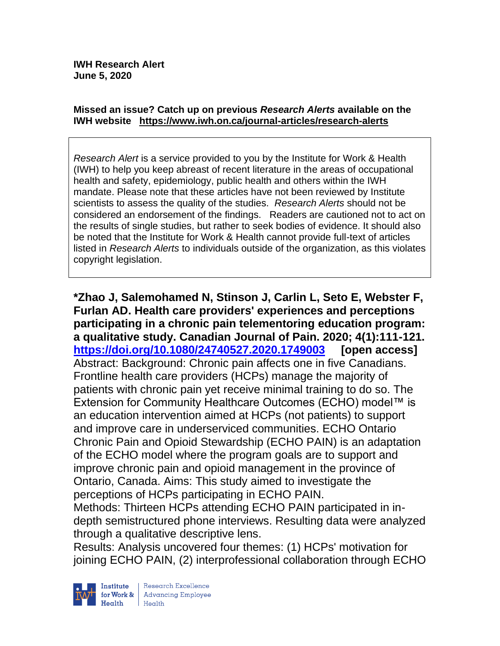#### **Missed an issue? Catch up on previous** *Research Alerts* **available on the [IWH website](http://www.iwh.on.ca/research-alerts) <https://www.iwh.on.ca/journal-articles/research-alerts>**

*Research Alert* is a service provided to you by the Institute for Work & Health (IWH) to help you keep abreast of recent literature in the areas of occupational health and safety, epidemiology, public health and others within the IWH mandate. Please note that these articles have not been reviewed by Institute scientists to assess the quality of the studies. *Research Alerts* should not be considered an endorsement of the findings. Readers are cautioned not to act on the results of single studies, but rather to seek bodies of evidence. It should also be noted that the Institute for Work & Health cannot provide full-text of articles listed in *Research Alerts* to individuals outside of the organization, as this violates copyright legislation.

**\*Zhao J, Salemohamed N, Stinson J, Carlin L, Seto E, Webster F, Furlan AD. Health care providers' experiences and perceptions participating in a chronic pain telementoring education program: a qualitative study. Canadian Journal of Pain. 2020; 4(1):111-121. <https://doi.org/10.1080/24740527.2020.1749003> [open access]** Abstract: Background: Chronic pain affects one in five Canadians. Frontline health care providers (HCPs) manage the majority of patients with chronic pain yet receive minimal training to do so. The Extension for Community Healthcare Outcomes (ECHO) model™ is an education intervention aimed at HCPs (not patients) to support and improve care in underserviced communities. ECHO Ontario Chronic Pain and Opioid Stewardship (ECHO PAIN) is an adaptation of the ECHO model where the program goals are to support and improve chronic pain and opioid management in the province of Ontario, Canada. Aims: This study aimed to investigate the perceptions of HCPs participating in ECHO PAIN. Methods: Thirteen HCPs attending ECHO PAIN participated in indepth semistructured phone interviews. Resulting data were analyzed through a qualitative descriptive lens.

Results: Analysis uncovered four themes: (1) HCPs' motivation for joining ECHO PAIN, (2) interprofessional collaboration through ECHO

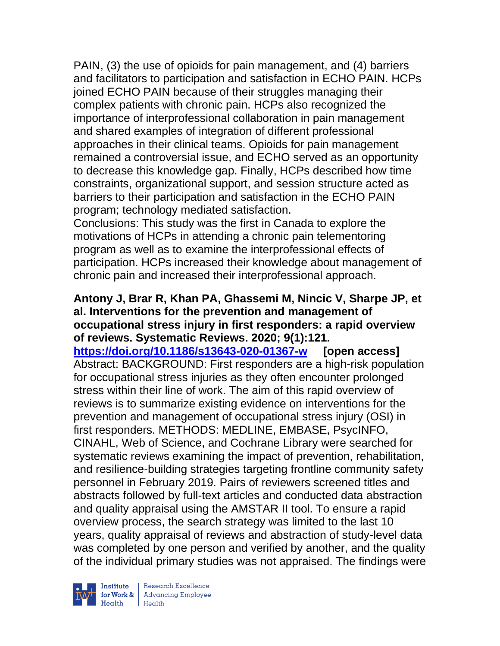PAIN, (3) the use of opioids for pain management, and (4) barriers and facilitators to participation and satisfaction in ECHO PAIN. HCPs joined ECHO PAIN because of their struggles managing their complex patients with chronic pain. HCPs also recognized the importance of interprofessional collaboration in pain management and shared examples of integration of different professional approaches in their clinical teams. Opioids for pain management remained a controversial issue, and ECHO served as an opportunity to decrease this knowledge gap. Finally, HCPs described how time constraints, organizational support, and session structure acted as barriers to their participation and satisfaction in the ECHO PAIN program; technology mediated satisfaction.

Conclusions: This study was the first in Canada to explore the motivations of HCPs in attending a chronic pain telementoring program as well as to examine the interprofessional effects of participation. HCPs increased their knowledge about management of chronic pain and increased their interprofessional approach.

#### **Antony J, Brar R, Khan PA, Ghassemi M, Nincic V, Sharpe JP, et al. Interventions for the prevention and management of occupational stress injury in first responders: a rapid overview of reviews. Systematic Reviews. 2020; 9(1):121.**

**<https://doi.org/10.1186/s13643-020-01367-w> [open access]** Abstract: BACKGROUND: First responders are a high-risk population for occupational stress injuries as they often encounter prolonged stress within their line of work. The aim of this rapid overview of reviews is to summarize existing evidence on interventions for the prevention and management of occupational stress injury (OSI) in first responders. METHODS: MEDLINE, EMBASE, PsycINFO, CINAHL, Web of Science, and Cochrane Library were searched for systematic reviews examining the impact of prevention, rehabilitation, and resilience-building strategies targeting frontline community safety personnel in February 2019. Pairs of reviewers screened titles and abstracts followed by full-text articles and conducted data abstraction and quality appraisal using the AMSTAR II tool. To ensure a rapid overview process, the search strategy was limited to the last 10 years, quality appraisal of reviews and abstraction of study-level data was completed by one person and verified by another, and the quality of the individual primary studies was not appraised. The findings were

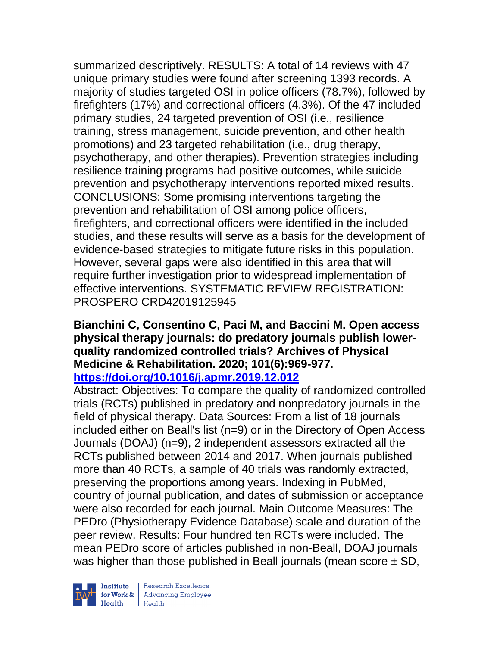summarized descriptively. RESULTS: A total of 14 reviews with 47 unique primary studies were found after screening 1393 records. A majority of studies targeted OSI in police officers (78.7%), followed by firefighters (17%) and correctional officers (4.3%). Of the 47 included primary studies, 24 targeted prevention of OSI (i.e., resilience training, stress management, suicide prevention, and other health promotions) and 23 targeted rehabilitation (i.e., drug therapy, psychotherapy, and other therapies). Prevention strategies including resilience training programs had positive outcomes, while suicide prevention and psychotherapy interventions reported mixed results. CONCLUSIONS: Some promising interventions targeting the prevention and rehabilitation of OSI among police officers, firefighters, and correctional officers were identified in the included studies, and these results will serve as a basis for the development of evidence-based strategies to mitigate future risks in this population. However, several gaps were also identified in this area that will require further investigation prior to widespread implementation of effective interventions. SYSTEMATIC REVIEW REGISTRATION: PROSPERO CRD42019125945

#### **Bianchini C, Consentino C, Paci M, and Baccini M. Open access physical therapy journals: do predatory journals publish lowerquality randomized controlled trials? Archives of Physical Medicine & Rehabilitation. 2020; 101(6):969-977. <https://doi.org/10.1016/j.apmr.2019.12.012>**

Abstract: Objectives: To compare the quality of randomized controlled trials (RCTs) published in predatory and nonpredatory journals in the field of physical therapy. Data Sources: From a list of 18 journals included either on Beall's list (n=9) or in the Directory of Open Access Journals (DOAJ) (n=9), 2 independent assessors extracted all the RCTs published between 2014 and 2017. When journals published more than 40 RCTs, a sample of 40 trials was randomly extracted, preserving the proportions among years. Indexing in PubMed, country of journal publication, and dates of submission or acceptance were also recorded for each journal. Main Outcome Measures: The PEDro (Physiotherapy Evidence Database) scale and duration of the peer review. Results: Four hundred ten RCTs were included. The mean PEDro score of articles published in non-Beall, DOAJ journals was higher than those published in Beall journals (mean score  $\pm$  SD,



Institute Research Excellence<br>
for Work & Advancing Employee<br>
Health<br>
Health Health Health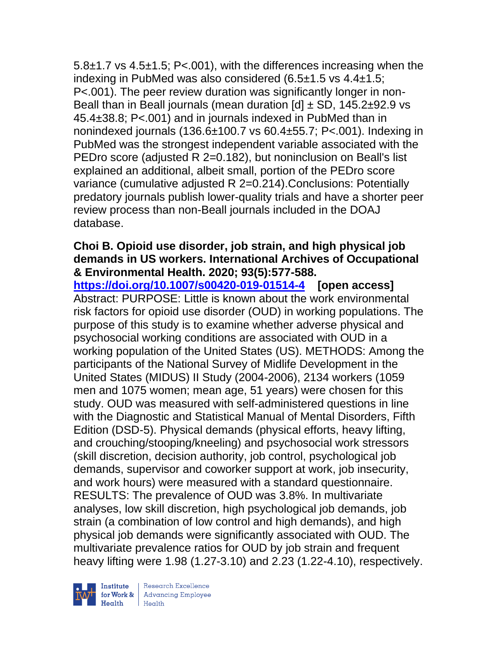5.8±1.7 vs 4.5±1.5; P<.001), with the differences increasing when the indexing in PubMed was also considered (6.5±1.5 vs 4.4±1.5; P<.001). The peer review duration was significantly longer in non-Beall than in Beall journals (mean duration  $\text{d}$  + SD, 145.2 $\pm$ 92.9 vs 45.4±38.8; P<.001) and in journals indexed in PubMed than in nonindexed journals  $(136.6\pm100.7 \text{ vs } 60.4\pm55.7; P<.001)$ . Indexing in PubMed was the strongest independent variable associated with the PEDro score (adjusted R 2=0.182), but noninclusion on Beall's list explained an additional, albeit small, portion of the PEDro score variance (cumulative adjusted R 2=0.214).Conclusions: Potentially predatory journals publish lower-quality trials and have a shorter peer review process than non-Beall journals included in the DOAJ database.

### **Choi B. Opioid use disorder, job strain, and high physical job demands in US workers. International Archives of Occupational & Environmental Health. 2020; 93(5):577-588.**

**<https://doi.org/10.1007/s00420-019-01514-4> [open access]**  Abstract: PURPOSE: Little is known about the work environmental risk factors for opioid use disorder (OUD) in working populations. The purpose of this study is to examine whether adverse physical and psychosocial working conditions are associated with OUD in a working population of the United States (US). METHODS: Among the participants of the National Survey of Midlife Development in the United States (MIDUS) II Study (2004-2006), 2134 workers (1059 men and 1075 women; mean age, 51 years) were chosen for this study. OUD was measured with self-administered questions in line with the Diagnostic and Statistical Manual of Mental Disorders, Fifth Edition (DSD-5). Physical demands (physical efforts, heavy lifting, and crouching/stooping/kneeling) and psychosocial work stressors (skill discretion, decision authority, job control, psychological job demands, supervisor and coworker support at work, job insecurity, and work hours) were measured with a standard questionnaire. RESULTS: The prevalence of OUD was 3.8%. In multivariate analyses, low skill discretion, high psychological job demands, job strain (a combination of low control and high demands), and high physical job demands were significantly associated with OUD. The multivariate prevalence ratios for OUD by job strain and frequent heavy lifting were 1.98 (1.27-3.10) and 2.23 (1.22-4.10), respectively.

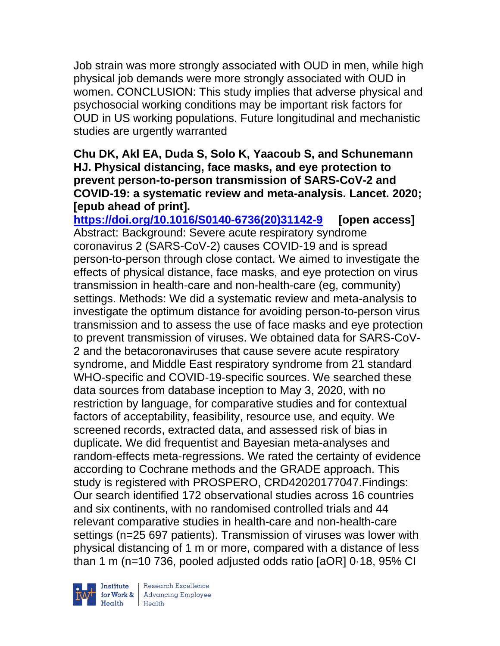Job strain was more strongly associated with OUD in men, while high physical job demands were more strongly associated with OUD in women. CONCLUSION: This study implies that adverse physical and psychosocial working conditions may be important risk factors for OUD in US working populations. Future longitudinal and mechanistic studies are urgently warranted

### **Chu DK, Akl EA, Duda S, Solo K, Yaacoub S, and Schunemann HJ. Physical distancing, face masks, and eye protection to prevent person-to-person transmission of SARS-CoV-2 and COVID-19: a systematic review and meta-analysis. Lancet. 2020; [epub ahead of print].**

**[https://doi.org/10.1016/S0140-6736\(20\)31142-9](https://doi.org/10.1016/S0140-6736(20)31142-9) [open access]** Abstract: Background: Severe acute respiratory syndrome coronavirus 2 (SARS-CoV-2) causes COVID-19 and is spread person-to-person through close contact. We aimed to investigate the effects of physical distance, face masks, and eye protection on virus transmission in health-care and non-health-care (eg, community) settings. Methods: We did a systematic review and meta-analysis to investigate the optimum distance for avoiding person-to-person virus transmission and to assess the use of face masks and eye protection to prevent transmission of viruses. We obtained data for SARS-CoV-2 and the betacoronaviruses that cause severe acute respiratory syndrome, and Middle East respiratory syndrome from 21 standard WHO-specific and COVID-19-specific sources. We searched these data sources from database inception to May 3, 2020, with no restriction by language, for comparative studies and for contextual factors of acceptability, feasibility, resource use, and equity. We screened records, extracted data, and assessed risk of bias in duplicate. We did frequentist and Bayesian meta-analyses and random-effects meta-regressions. We rated the certainty of evidence according to Cochrane methods and the GRADE approach. This study is registered with PROSPERO, CRD42020177047.Findings: Our search identified 172 observational studies across 16 countries and six continents, with no randomised controlled trials and 44 relevant comparative studies in health-care and non-health-care settings (n=25 697 patients). Transmission of viruses was lower with physical distancing of 1 m or more, compared with a distance of less than 1 m (n=10 736, pooled adjusted odds ratio [aOR] 0·18, 95% CI

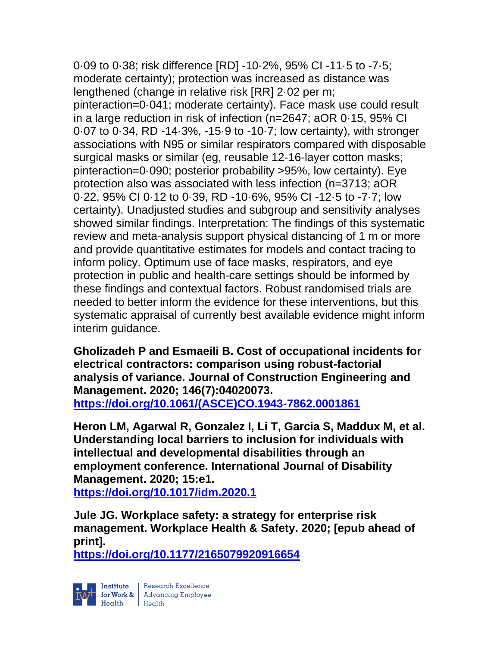0·09 to 0·38; risk difference [RD] -10·2%, 95% CI -11·5 to -7·5; moderate certainty); protection was increased as distance was lengthened (change in relative risk [RR] 2·02 per m; pinteraction=0·041; moderate certainty). Face mask use could result in a large reduction in risk of infection (n=2647; aOR 0·15, 95% CI 0·07 to 0·34, RD -14·3%, -15·9 to -10·7; low certainty), with stronger associations with N95 or similar respirators compared with disposable surgical masks or similar (eg, reusable 12-16-layer cotton masks; pinteraction=0·090; posterior probability >95%, low certainty). Eye protection also was associated with less infection (n=3713; aOR 0·22, 95% CI 0·12 to 0·39, RD -10·6%, 95% CI -12·5 to -7·7; low certainty). Unadjusted studies and subgroup and sensitivity analyses showed similar findings. Interpretation: The findings of this systematic review and meta-analysis support physical distancing of 1 m or more and provide quantitative estimates for models and contact tracing to inform policy. Optimum use of face masks, respirators, and eye protection in public and health-care settings should be informed by these findings and contextual factors. Robust randomised trials are needed to better inform the evidence for these interventions, but this systematic appraisal of currently best available evidence might inform interim guidance.

**Gholizadeh P and Esmaeili B. Cost of occupational incidents for electrical contractors: comparison using robust-factorial analysis of variance. Journal of Construction Engineering and Management. 2020; 146(7):04020073. [https://doi.org/10.1061/\(ASCE\)CO.1943-7862.0001861](https://doi.org/10.1061/(ASCE)CO.1943-7862.0001861)** 

**Heron LM, Agarwal R, Gonzalez I, Li T, Garcia S, Maddux M, et al. Understanding local barriers to inclusion for individuals with intellectual and developmental disabilities through an employment conference. International Journal of Disability Management. 2020; 15:e1.**

**<https://doi.org/10.1017/idm.2020.1>** 

**Jule JG. Workplace safety: a strategy for enterprise risk management. Workplace Health & Safety. 2020; [epub ahead of print].**

**<https://doi.org/10.1177/2165079920916654>** 

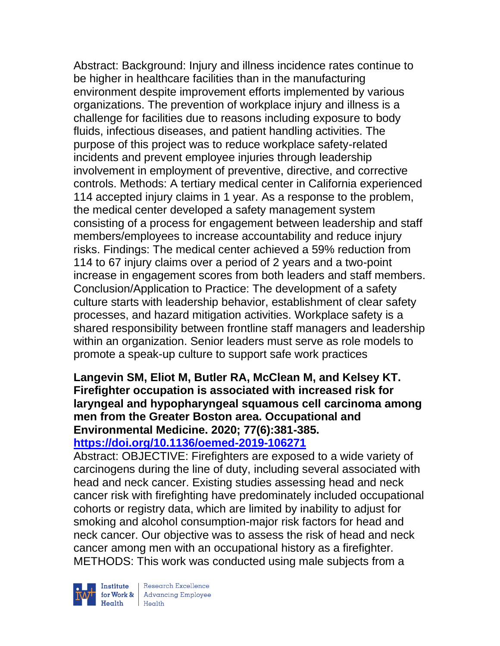Abstract: Background: Injury and illness incidence rates continue to be higher in healthcare facilities than in the manufacturing environment despite improvement efforts implemented by various organizations. The prevention of workplace injury and illness is a challenge for facilities due to reasons including exposure to body fluids, infectious diseases, and patient handling activities. The purpose of this project was to reduce workplace safety-related incidents and prevent employee injuries through leadership involvement in employment of preventive, directive, and corrective controls. Methods: A tertiary medical center in California experienced 114 accepted injury claims in 1 year. As a response to the problem, the medical center developed a safety management system consisting of a process for engagement between leadership and staff members/employees to increase accountability and reduce injury risks. Findings: The medical center achieved a 59% reduction from 114 to 67 injury claims over a period of 2 years and a two-point increase in engagement scores from both leaders and staff members. Conclusion/Application to Practice: The development of a safety culture starts with leadership behavior, establishment of clear safety processes, and hazard mitigation activities. Workplace safety is a shared responsibility between frontline staff managers and leadership within an organization. Senior leaders must serve as role models to promote a speak-up culture to support safe work practices

#### **Langevin SM, Eliot M, Butler RA, McClean M, and Kelsey KT. Firefighter occupation is associated with increased risk for laryngeal and hypopharyngeal squamous cell carcinoma among men from the Greater Boston area. Occupational and Environmental Medicine. 2020; 77(6):381-385. <https://doi.org/10.1136/oemed-2019-106271>**

Abstract: OBJECTIVE: Firefighters are exposed to a wide variety of carcinogens during the line of duty, including several associated with head and neck cancer. Existing studies assessing head and neck cancer risk with firefighting have predominately included occupational cohorts or registry data, which are limited by inability to adjust for smoking and alcohol consumption-major risk factors for head and neck cancer. Our objective was to assess the risk of head and neck cancer among men with an occupational history as a firefighter. METHODS: This work was conducted using male subjects from a



| Research Excellence **Institute** Research Excellence<br> **Fractional Advancing Employee**<br> **Health** Health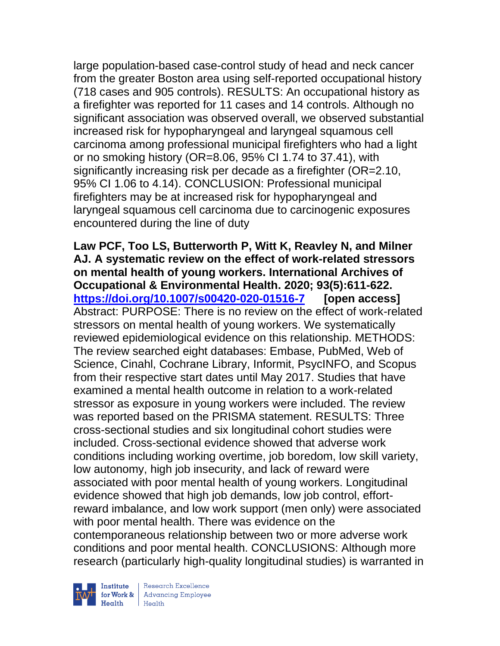large population-based case-control study of head and neck cancer from the greater Boston area using self-reported occupational history (718 cases and 905 controls). RESULTS: An occupational history as a firefighter was reported for 11 cases and 14 controls. Although no significant association was observed overall, we observed substantial increased risk for hypopharyngeal and laryngeal squamous cell carcinoma among professional municipal firefighters who had a light or no smoking history (OR=8.06, 95% CI 1.74 to 37.41), with significantly increasing risk per decade as a firefighter (OR=2.10, 95% CI 1.06 to 4.14). CONCLUSION: Professional municipal firefighters may be at increased risk for hypopharyngeal and laryngeal squamous cell carcinoma due to carcinogenic exposures encountered during the line of duty

**Law PCF, Too LS, Butterworth P, Witt K, Reavley N, and Milner AJ. A systematic review on the effect of work-related stressors on mental health of young workers. International Archives of Occupational & Environmental Health. 2020; 93(5):611-622. <https://doi.org/10.1007/s00420-020-01516-7> [open access]** Abstract: PURPOSE: There is no review on the effect of work-related stressors on mental health of young workers. We systematically reviewed epidemiological evidence on this relationship. METHODS: The review searched eight databases: Embase, PubMed, Web of Science, Cinahl, Cochrane Library, Informit, PsycINFO, and Scopus from their respective start dates until May 2017. Studies that have examined a mental health outcome in relation to a work-related stressor as exposure in young workers were included. The review was reported based on the PRISMA statement. RESULTS: Three cross-sectional studies and six longitudinal cohort studies were included. Cross-sectional evidence showed that adverse work conditions including working overtime, job boredom, low skill variety, low autonomy, high job insecurity, and lack of reward were associated with poor mental health of young workers. Longitudinal evidence showed that high job demands, low job control, effortreward imbalance, and low work support (men only) were associated with poor mental health. There was evidence on the contemporaneous relationship between two or more adverse work conditions and poor mental health. CONCLUSIONS: Although more research (particularly high-quality longitudinal studies) is warranted in

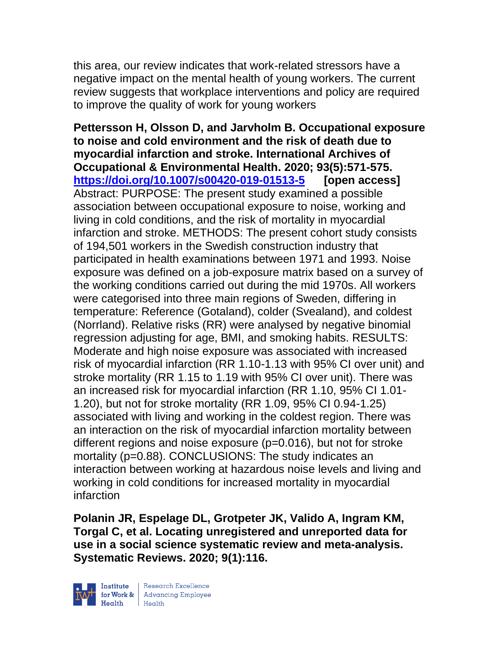this area, our review indicates that work-related stressors have a negative impact on the mental health of young workers. The current review suggests that workplace interventions and policy are required to improve the quality of work for young workers

**Pettersson H, Olsson D, and Jarvholm B. Occupational exposure to noise and cold environment and the risk of death due to myocardial infarction and stroke. International Archives of Occupational & Environmental Health. 2020; 93(5):571-575. <https://doi.org/10.1007/s00420-019-01513-5> [open access]** Abstract: PURPOSE: The present study examined a possible association between occupational exposure to noise, working and living in cold conditions, and the risk of mortality in myocardial infarction and stroke. METHODS: The present cohort study consists of 194,501 workers in the Swedish construction industry that participated in health examinations between 1971 and 1993. Noise exposure was defined on a job-exposure matrix based on a survey of the working conditions carried out during the mid 1970s. All workers were categorised into three main regions of Sweden, differing in temperature: Reference (Gotaland), colder (Svealand), and coldest (Norrland). Relative risks (RR) were analysed by negative binomial regression adjusting for age, BMI, and smoking habits. RESULTS: Moderate and high noise exposure was associated with increased risk of myocardial infarction (RR 1.10-1.13 with 95% CI over unit) and stroke mortality (RR 1.15 to 1.19 with 95% CI over unit). There was an increased risk for myocardial infarction (RR 1.10, 95% CI 1.01- 1.20), but not for stroke mortality (RR 1.09, 95% CI 0.94-1.25) associated with living and working in the coldest region. There was an interaction on the risk of myocardial infarction mortality between different regions and noise exposure (p=0.016), but not for stroke mortality (p=0.88). CONCLUSIONS: The study indicates an interaction between working at hazardous noise levels and living and working in cold conditions for increased mortality in myocardial infarction

**Polanin JR, Espelage DL, Grotpeter JK, Valido A, Ingram KM, Torgal C, et al. Locating unregistered and unreported data for use in a social science systematic review and meta-analysis. Systematic Reviews. 2020; 9(1):116.**

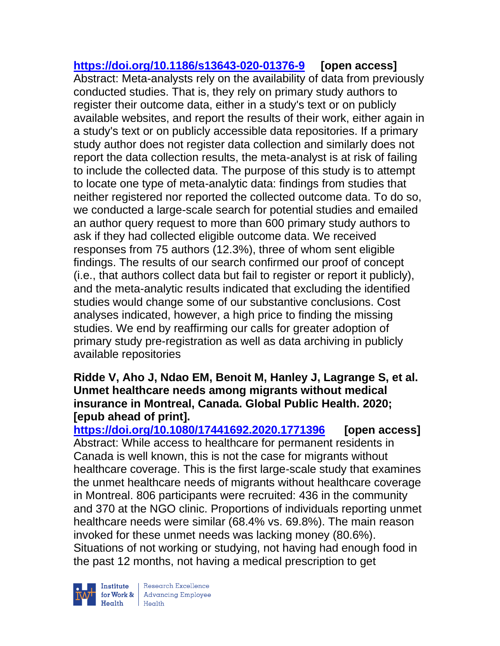**<https://doi.org/10.1186/s13643-020-01376-9> [open access]** Abstract: Meta-analysts rely on the availability of data from previously conducted studies. That is, they rely on primary study authors to register their outcome data, either in a study's text or on publicly available websites, and report the results of their work, either again in a study's text or on publicly accessible data repositories. If a primary study author does not register data collection and similarly does not report the data collection results, the meta-analyst is at risk of failing to include the collected data. The purpose of this study is to attempt to locate one type of meta-analytic data: findings from studies that neither registered nor reported the collected outcome data. To do so, we conducted a large-scale search for potential studies and emailed an author query request to more than 600 primary study authors to ask if they had collected eligible outcome data. We received responses from 75 authors (12.3%), three of whom sent eligible findings. The results of our search confirmed our proof of concept (i.e., that authors collect data but fail to register or report it publicly), and the meta-analytic results indicated that excluding the identified studies would change some of our substantive conclusions. Cost analyses indicated, however, a high price to finding the missing studies. We end by reaffirming our calls for greater adoption of primary study pre-registration as well as data archiving in publicly available repositories

#### **Ridde V, Aho J, Ndao EM, Benoit M, Hanley J, Lagrange S, et al. Unmet healthcare needs among migrants without medical insurance in Montreal, Canada. Global Public Health. 2020; [epub ahead of print].**

**<https://doi.org/10.1080/17441692.2020.1771396> [open access]** Abstract: While access to healthcare for permanent residents in Canada is well known, this is not the case for migrants without healthcare coverage. This is the first large-scale study that examines the unmet healthcare needs of migrants without healthcare coverage in Montreal. 806 participants were recruited: 436 in the community and 370 at the NGO clinic. Proportions of individuals reporting unmet healthcare needs were similar (68.4% vs. 69.8%). The main reason invoked for these unmet needs was lacking money (80.6%). Situations of not working or studying, not having had enough food in the past 12 months, not having a medical prescription to get

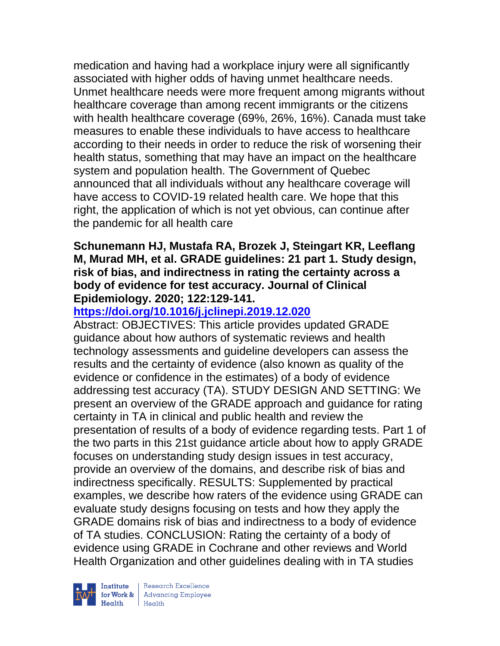medication and having had a workplace injury were all significantly associated with higher odds of having unmet healthcare needs. Unmet healthcare needs were more frequent among migrants without healthcare coverage than among recent immigrants or the citizens with health healthcare coverage (69%, 26%, 16%). Canada must take measures to enable these individuals to have access to healthcare according to their needs in order to reduce the risk of worsening their health status, something that may have an impact on the healthcare system and population health. The Government of Quebec announced that all individuals without any healthcare coverage will have access to COVID-19 related health care. We hope that this right, the application of which is not yet obvious, can continue after the pandemic for all health care

#### **Schunemann HJ, Mustafa RA, Brozek J, Steingart KR, Leeflang M, Murad MH, et al. GRADE guidelines: 21 part 1. Study design, risk of bias, and indirectness in rating the certainty across a body of evidence for test accuracy. Journal of Clinical Epidemiology. 2020; 122:129-141.**

## **<https://doi.org/10.1016/j.jclinepi.2019.12.020>**

Abstract: OBJECTIVES: This article provides updated GRADE guidance about how authors of systematic reviews and health technology assessments and guideline developers can assess the results and the certainty of evidence (also known as quality of the evidence or confidence in the estimates) of a body of evidence addressing test accuracy (TA). STUDY DESIGN AND SETTING: We present an overview of the GRADE approach and guidance for rating certainty in TA in clinical and public health and review the presentation of results of a body of evidence regarding tests. Part 1 of the two parts in this 21st guidance article about how to apply GRADE focuses on understanding study design issues in test accuracy, provide an overview of the domains, and describe risk of bias and indirectness specifically. RESULTS: Supplemented by practical examples, we describe how raters of the evidence using GRADE can evaluate study designs focusing on tests and how they apply the GRADE domains risk of bias and indirectness to a body of evidence of TA studies. CONCLUSION: Rating the certainty of a body of evidence using GRADE in Cochrane and other reviews and World Health Organization and other guidelines dealing with in TA studies

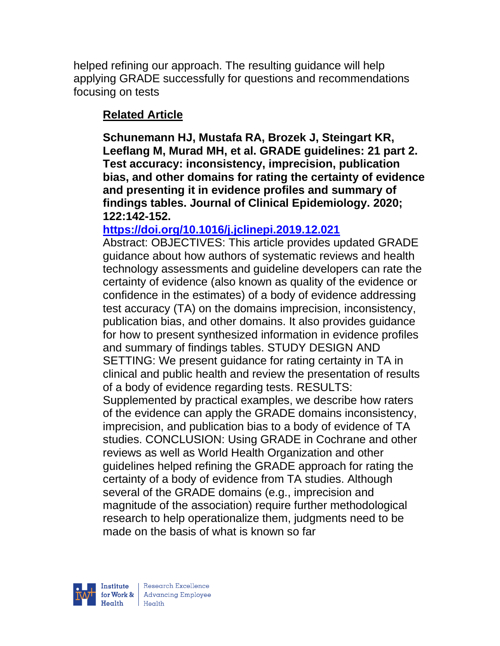helped refining our approach. The resulting guidance will help applying GRADE successfully for questions and recommendations focusing on tests

# **Related Article**

**Schunemann HJ, Mustafa RA, Brozek J, Steingart KR, Leeflang M, Murad MH, et al. GRADE guidelines: 21 part 2. Test accuracy: inconsistency, imprecision, publication bias, and other domains for rating the certainty of evidence and presenting it in evidence profiles and summary of findings tables. Journal of Clinical Epidemiology. 2020; 122:142-152.** 

## **<https://doi.org/10.1016/j.jclinepi.2019.12.021>**

Abstract: OBJECTIVES: This article provides updated GRADE guidance about how authors of systematic reviews and health technology assessments and guideline developers can rate the certainty of evidence (also known as quality of the evidence or confidence in the estimates) of a body of evidence addressing test accuracy (TA) on the domains imprecision, inconsistency, publication bias, and other domains. It also provides guidance for how to present synthesized information in evidence profiles and summary of findings tables. STUDY DESIGN AND SETTING: We present guidance for rating certainty in TA in clinical and public health and review the presentation of results of a body of evidence regarding tests. RESULTS: Supplemented by practical examples, we describe how raters of the evidence can apply the GRADE domains inconsistency, imprecision, and publication bias to a body of evidence of TA studies. CONCLUSION: Using GRADE in Cochrane and other reviews as well as World Health Organization and other guidelines helped refining the GRADE approach for rating the certainty of a body of evidence from TA studies. Although several of the GRADE domains (e.g., imprecision and magnitude of the association) require further methodological research to help operationalize them, judgments need to be made on the basis of what is known so far

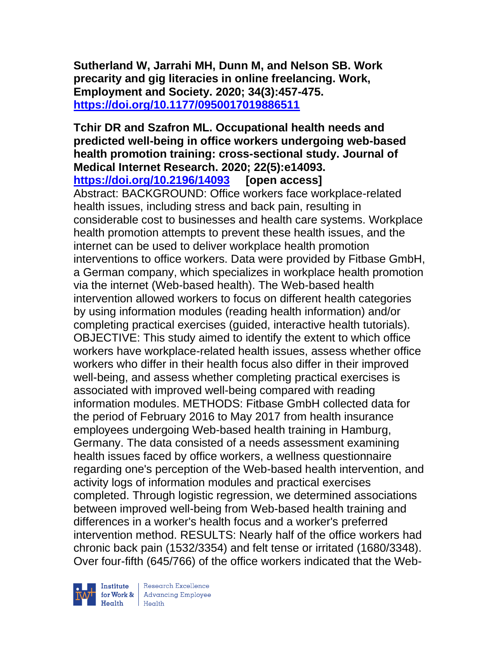**Sutherland W, Jarrahi MH, Dunn M, and Nelson SB. Work precarity and gig literacies in online freelancing. Work, Employment and Society. 2020; 34(3):457-475. <https://doi.org/10.1177/0950017019886511>** 

#### **Tchir DR and Szafron ML. Occupational health needs and predicted well-being in office workers undergoing web-based health promotion training: cross-sectional study. Journal of Medical Internet Research. 2020; 22(5):e14093. <https://doi.org/10.2196/14093> [open access]**

Abstract: BACKGROUND: Office workers face workplace-related health issues, including stress and back pain, resulting in considerable cost to businesses and health care systems. Workplace health promotion attempts to prevent these health issues, and the internet can be used to deliver workplace health promotion interventions to office workers. Data were provided by Fitbase GmbH, a German company, which specializes in workplace health promotion via the internet (Web-based health). The Web-based health intervention allowed workers to focus on different health categories by using information modules (reading health information) and/or completing practical exercises (guided, interactive health tutorials). OBJECTIVE: This study aimed to identify the extent to which office workers have workplace-related health issues, assess whether office workers who differ in their health focus also differ in their improved well-being, and assess whether completing practical exercises is associated with improved well-being compared with reading information modules. METHODS: Fitbase GmbH collected data for the period of February 2016 to May 2017 from health insurance employees undergoing Web-based health training in Hamburg, Germany. The data consisted of a needs assessment examining health issues faced by office workers, a wellness questionnaire regarding one's perception of the Web-based health intervention, and activity logs of information modules and practical exercises completed. Through logistic regression, we determined associations between improved well-being from Web-based health training and differences in a worker's health focus and a worker's preferred intervention method. RESULTS: Nearly half of the office workers had chronic back pain (1532/3354) and felt tense or irritated (1680/3348). Over four-fifth (645/766) of the office workers indicated that the Web-



 $\begin{tabular}{|l|} Institute & Research Excellence \\ \hline for Work & Advancing Employee \\ Health & Health \\ \end{tabular}$